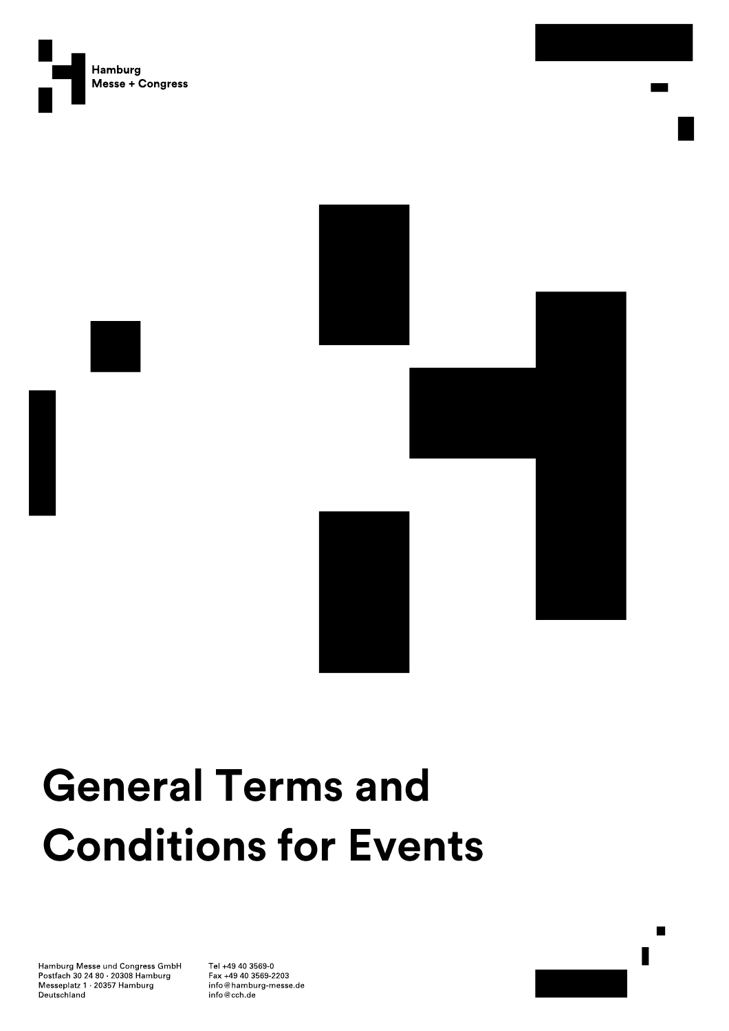



# **General Terms and Conditions for Events**

Hamburg Messe und Congress GmbH Postfach 30 24 80 20308 Hamburg Messeplatz 1 20357 Hamburg Deutschland

Tel +49 40 3569-0 Fax +49 40 3569-2203 info@hamburg-messe.de info@cch.de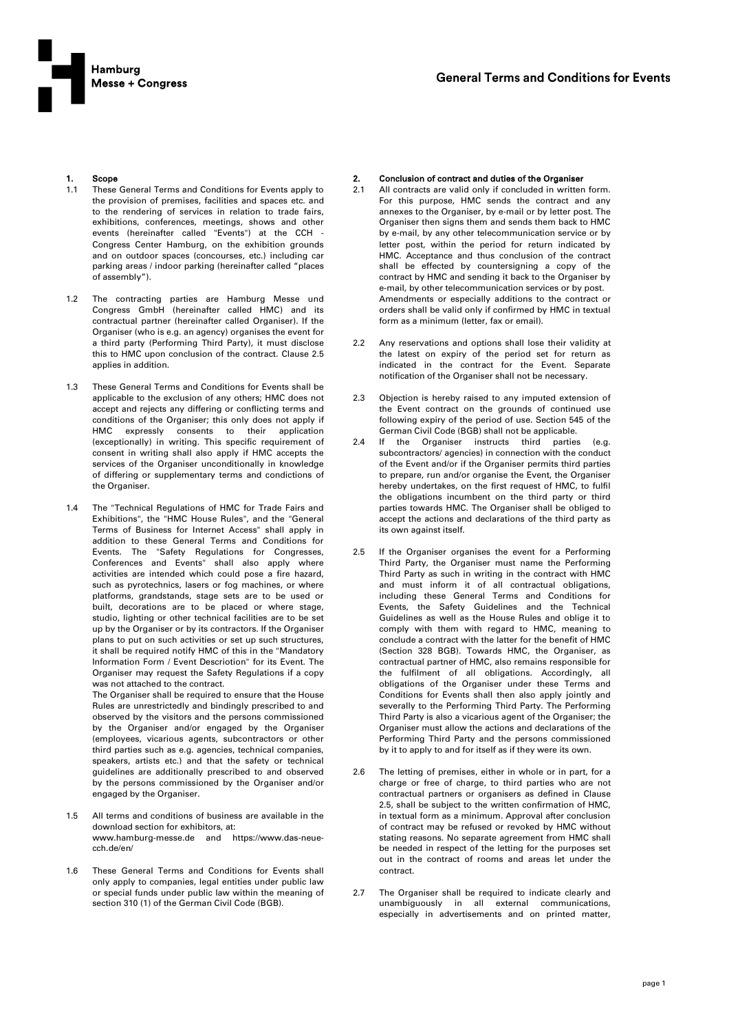

# 1. Scope

- 1.1 These General Terms and Conditions for Events apply to the provision of premises, facilities and spaces etc. and to the rendering of services in relation to trade fairs, exhibitions, conferences, meetings, shows and other events (hereinafter called "Events") at the CCH Congress Center Hamburg, on the exhibition grounds and on outdoor spaces (concourses, etc.) including car parking areas / indoor parking (hereinafter called "places of assembly").
- 1.2 The contracting parties are Hamburg Messe und Congress GmbH (hereinafter called HMC) and its contractual partner (hereinafter called Organiser). If the Organiser (who is e.g. an agency) organises the event for a third party (Performing Third Party), it must disclose this to HMC upon conclusion of the contract. Clause 2.5 applies in addition.
- 1.3 These General Terms and Conditions for Events shall be applicable to the exclusion of any others; HMC does not accept and rejects any differing or conflicting terms and conditions of the Organiser; this only does not apply if HMC expressly consents to their application (exceptionally) in writing. This specific requirement of consent in writing shall also apply if HMC accepts the services of the Organiser unconditionally in knowledge of differing or supplementary terms and condictions of the Organiser.
- 1.4 The "Technical Regulations of HMC for Trade Fairs and Exhibitions", the "HMC House Rules", and the "General Terms of Business for Internet Access" shall apply in addition to these General Terms and Conditions for Events. The "Safety Regulations for Congresses, Conferences and Events" shall also apply where activities are intended which could pose a fire hazard, such as pyrotechnics, lasers or fog machines, or where platforms, grandstands, stage sets are to be used or built, decorations are to be placed or where stage, studio, lighting or other technical facilities are to be set up by the Organiser or by its contractors. If the Organiser plans to put on such activities or set up such structures, it shall be required notify HMC of this in the "Mandatory Information Form / Event Descriotion" for its Event. The Organiser may request the Safety Regulations if a copy was not attached to the contract.

The Organiser shall be required to ensure that the House Rules are unrestrictedly and bindingly prescribed to and observed by the visitors and the persons commissioned by the Organiser and/or engaged by the Organiser (employees, vicarious agents, subcontractors or other third parties such as e.g. agencies, technical companies, speakers, artists etc.) and that the safety or technical guidelines are additionally prescribed to and observed by the persons commissioned by the Organiser and/or engaged by the Organiser.

- 1.5 All terms and conditions of business are available in the download section for exhibitors, at: www.hamburg-messe.de and https://www.das-neuecch.de/en/
- 1.6 These General Terms and Conditions for Events shall only apply to companies, legal entities under public law or special funds under public law within the meaning of section 310 (1) of the German Civil Code (BGB).

#### 2. Conclusion of contract and duties of the Organiser

- 2.1 All contracts are valid only if concluded in written form. For this purpose, HMC sends the contract and any annexes to the Organiser, by e-mail or by letter post. The Organiser then signs them and sends them back to HMC by e-mail, by any other telecommunication service or by letter post, within the period for return indicated by HMC. Acceptance and thus conclusion of the contract shall be effected by countersigning a copy of the contract by HMC and sending it back to the Organiser by e-mail, by other telecommunication services or by post. Amendments or especially additions to the contract or orders shall be valid only if confirmed by HMC in textual form as a minimum (letter, fax or email).
- 2.2 Any reservations and options shall lose their validity at the latest on expiry of the period set for return as indicated in the contract for the Event. Separate notification of the Organiser shall not be necessary.
- 2.3 Objection is hereby raised to any imputed extension of the Event contract on the grounds of continued use following expiry of the period of use. Section 545 of the German Civil Code (BGB) shall not be applicable.
- 2.4 If the Organiser instructs third parties (e.g. subcontractors/ agencies) in connection with the conduct of the Event and/or if the Organiser permits third parties to prepare, run and/or organise the Event, the Organiser hereby undertakes, on the first request of HMC, to fulfil the obligations incumbent on the third party or third parties towards HMC. The Organiser shall be obliged to accept the actions and declarations of the third party as its own against itself.
- 2.5 If the Organiser organises the event for a Performing Third Party, the Organiser must name the Performing Third Party as such in writing in the contract with HMC and must inform it of all contractual obligations, including these General Terms and Conditions for Events, the Safety Guidelines and the Technical Guidelines as well as the House Rules and oblige it to comply with them with regard to HMC, meaning to conclude a contract with the latter for the benefit of HMC (Section 328 BGB). Towards HMC, the Organiser, as contractual partner of HMC, also remains responsible for the fulfilment of all obligations. Accordingly, all obligations of the Organiser under these Terms and Conditions for Events shall then also apply jointly and severally to the Performing Third Party. The Performing Third Party is also a vicarious agent of the Organiser; the Organiser must allow the actions and declarations of the Performing Third Party and the persons commissioned by it to apply to and for itself as if they were its own.
- 2.6 The letting of premises, either in whole or in part, for a charge or free of charge, to third parties who are not contractual partners or organisers as defined in Clause 2.5, shall be subject to the written confirmation of HMC, in textual form as a minimum. Approval after conclusion of contract may be refused or revoked by HMC without stating reasons. No separate agreement from HMC shall be needed in respect of the letting for the purposes set out in the contract of rooms and areas let under the contract.
- 2.7 The Organiser shall be required to indicate clearly and unambiguously in all external communications, especially in advertisements and on printed matter,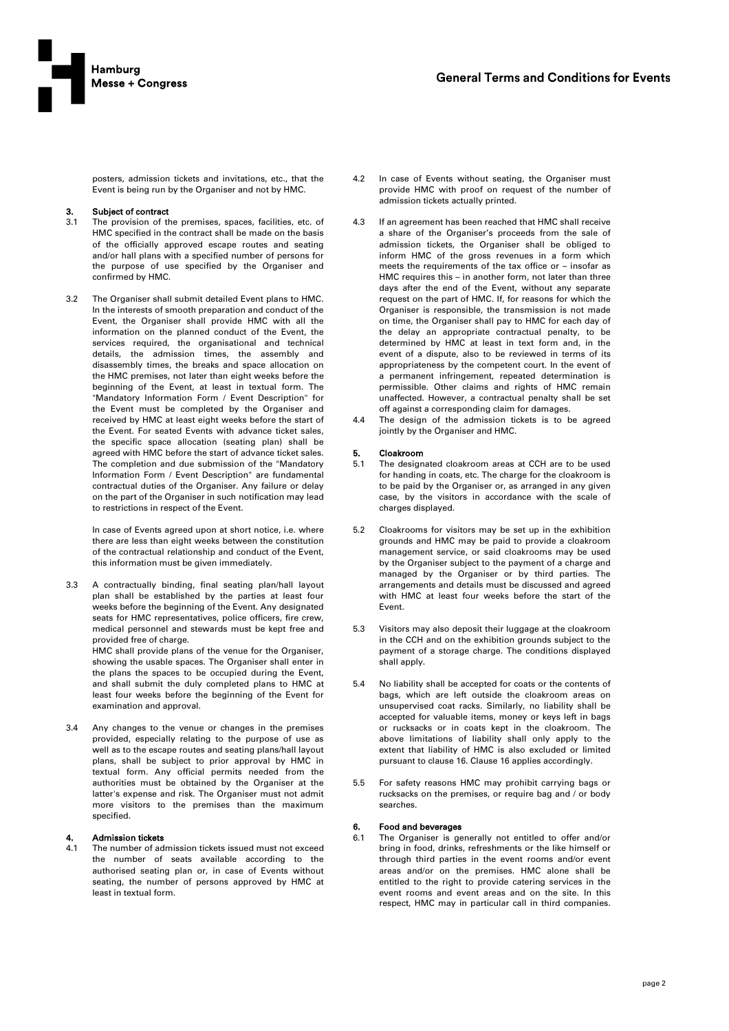

posters, admission tickets and invitations, etc., that the Event is being run by the Organiser and not by HMC.

### 3. Subject of contract

- 3.1 The provision of the premises, spaces, facilities, etc. of HMC specified in the contract shall be made on the basis of the officially approved escape routes and seating and/or hall plans with a specified number of persons for the purpose of use specified by the Organiser and confirmed by HMC.
- 3.2 The Organiser shall submit detailed Event plans to HMC. In the interests of smooth preparation and conduct of the Event, the Organiser shall provide HMC with all the information on the planned conduct of the Event, the services required, the organisational and technical details, the admission times, the assembly and disassembly times, the breaks and space allocation on the HMC premises, not later than eight weeks before the beginning of the Event, at least in textual form. The "Mandatory Information Form / Event Description" for the Event must be completed by the Organiser and received by HMC at least eight weeks before the start of the Event. For seated Events with advance ticket sales, the specific space allocation (seating plan) shall be agreed with HMC before the start of advance ticket sales. The completion and due submission of the "Mandatory Information Form / Event Description" are fundamental contractual duties of the Organiser. Any failure or delay on the part of the Organiser in such notification may lead to restrictions in respect of the Event.

In case of Events agreed upon at short notice, i.e. where there are less than eight weeks between the constitution of the contractual relationship and conduct of the Event, this information must be given immediately.

3.3 A contractually binding, final seating plan/hall layout plan shall be established by the parties at least four weeks before the beginning of the Event. Any designated seats for HMC representatives, police officers, fire crew, medical personnel and stewards must be kept free and provided free of charge.

HMC shall provide plans of the venue for the Organiser, showing the usable spaces. The Organiser shall enter in the plans the spaces to be occupied during the Event, and shall submit the duly completed plans to HMC at least four weeks before the beginning of the Event for examination and approval.

3.4 Any changes to the venue or changes in the premises provided, especially relating to the purpose of use as well as to the escape routes and seating plans/hall layout plans, shall be subject to prior approval by HMC in textual form. Any official permits needed from the authorities must be obtained by the Organiser at the latter's expense and risk. The Organiser must not admit more visitors to the premises than the maximum specified.

# 4. Admission tickets

4.1 The number of admission tickets issued must not exceed the number of seats available according to the authorised seating plan or, in case of Events without seating, the number of persons approved by HMC at least in textual form.

- 4.2 In case of Events without seating, the Organiser must provide HMC with proof on request of the number of admission tickets actually printed.
- 4.3 If an agreement has been reached that HMC shall receive a share of the Organiser's proceeds from the sale of admission tickets, the Organiser shall be obliged to inform HMC of the gross revenues in a form which meets the requirements of the tax office or – insofar as HMC requires this – in another form, not later than three days after the end of the Event, without any separate request on the part of HMC. If, for reasons for which the Organiser is responsible, the transmission is not made on time, the Organiser shall pay to HMC for each day of the delay an appropriate contractual penalty, to be determined by HMC at least in text form and, in the event of a dispute, also to be reviewed in terms of its appropriateness by the competent court. In the event of a permanent infringement, repeated determination is permissible. Other claims and rights of HMC remain unaffected. However, a contractual penalty shall be set off against a corresponding claim for damages.
- 4.4 The design of the admission tickets is to be agreed jointly by the Organiser and HMC.

# **5.** Cloakroom<br>5.1 The design

- The designated cloakroom areas at CCH are to be used for handing in coats, etc. The charge for the cloakroom is to be paid by the Organiser or, as arranged in any given case, by the visitors in accordance with the scale of charges displayed.
- 5.2 Cloakrooms for visitors may be set up in the exhibition grounds and HMC may be paid to provide a cloakroom management service, or said cloakrooms may be used by the Organiser subject to the payment of a charge and managed by the Organiser or by third parties. The arrangements and details must be discussed and agreed with HMC at least four weeks before the start of the Event.
- 5.3 Visitors may also deposit their luggage at the cloakroom in the CCH and on the exhibition grounds subject to the payment of a storage charge. The conditions displayed shall apply.
- No liability shall be accepted for coats or the contents of bags, which are left outside the cloakroom areas on unsupervised coat racks. Similarly, no liability shall be accepted for valuable items, money or keys left in bags or rucksacks or in coats kept in the cloakroom. The above limitations of liability shall only apply to the extent that liability of HMC is also excluded or limited pursuant to clause 16. Clause 16 applies accordingly.
- 5.5 For safety reasons HMC may prohibit carrying bags or rucksacks on the premises, or require bag and / or body searches.

#### 6. Food and beverages

6.1 The Organiser is generally not entitled to offer and/or bring in food, drinks, refreshments or the like himself or through third parties in the event rooms and/or event areas and/or on the premises. HMC alone shall be entitled to the right to provide catering services in the event rooms and event areas and on the site. In this respect, HMC may in particular call in third companies.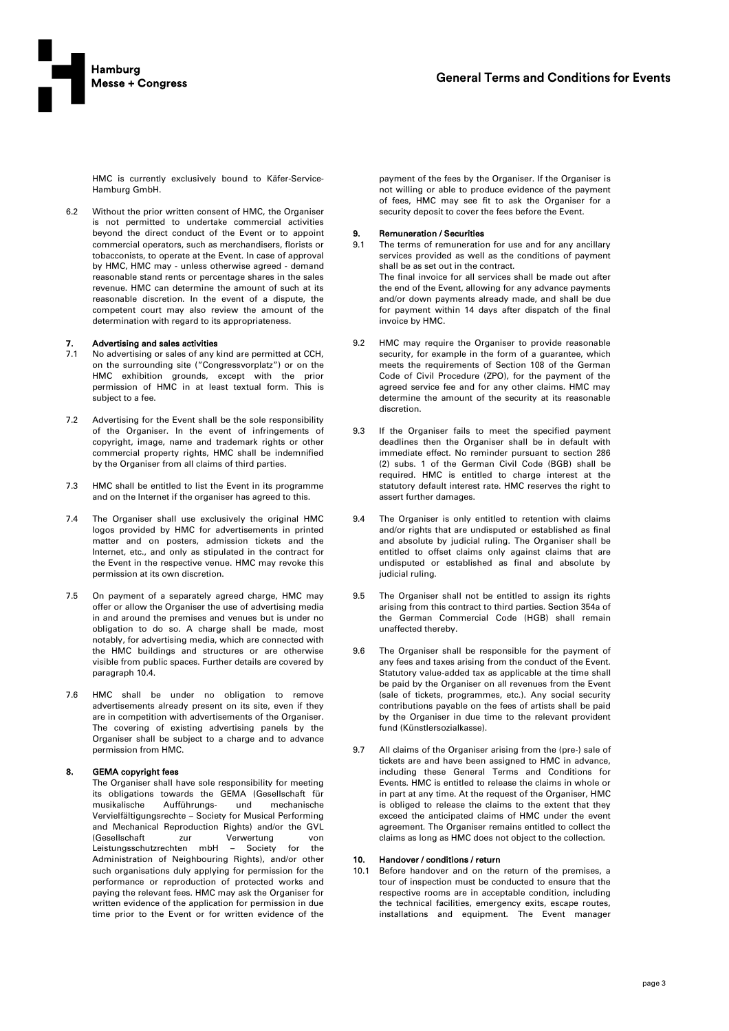

HMC is currently exclusively bound to Käfer-Service-Hamburg GmbH.

6.2 Without the prior written consent of HMC, the Organiser is not permitted to undertake commercial activities beyond the direct conduct of the Event or to appoint commercial operators, such as merchandisers, florists or tobacconists, to operate at the Event. In case of approval by HMC, HMC may - unless otherwise agreed - demand reasonable stand rents or percentage shares in the sales revenue. HMC can determine the amount of such at its reasonable discretion. In the event of a dispute, the competent court may also review the amount of the determination with regard to its appropriateness.

# 7. Advertising and sales activities

- No advertising or sales of any kind are permitted at CCH, on the surrounding site ("Congressvorplatz") or on the HMC exhibition grounds, except with the prior permission of HMC in at least textual form. This is subject to a fee.
- 7.2 Advertising for the Event shall be the sole responsibility of the Organiser. In the event of infringements of copyright, image, name and trademark rights or other commercial property rights, HMC shall be indemnified by the Organiser from all claims of third parties.
- 7.3 HMC shall be entitled to list the Event in its programme and on the Internet if the organiser has agreed to this.
- 7.4 The Organiser shall use exclusively the original HMC logos provided by HMC for advertisements in printed matter and on posters, admission tickets and the Internet, etc., and only as stipulated in the contract for the Event in the respective venue. HMC may revoke this permission at its own discretion.
- 7.5 On payment of a separately agreed charge, HMC may offer or allow the Organiser the use of advertising media in and around the premises and venues but is under no obligation to do so. A charge shall be made, most notably, for advertising media, which are connected with the HMC buildings and structures or are otherwise visible from public spaces. Further details are covered by paragraph 10.4.
- 7.6 HMC shall be under no obligation to remove advertisements already present on its site, even if they are in competition with advertisements of the Organiser. The covering of existing advertising panels by the Organiser shall be subject to a charge and to advance permission from HMC.

#### 8. GEMA copyright fees

The Organiser shall have sole responsibility for meeting its obligations towards the GEMA (Gesellschaft für musikalische Aufführungs- und mechanische Vervielfältigungsrechte – Society for Musical Performing and Mechanical Reproduction Rights) and/or the GVL (Gesellschaft zur Verwertung von Leistungsschutzrechten mbH – Society for the Administration of Neighbouring Rights), and/or other such organisations duly applying for permission for the performance or reproduction of protected works and paying the relevant fees. HMC may ask the Organiser for written evidence of the application for permission in due time prior to the Event or for written evidence of the

payment of the fees by the Organiser. If the Organiser is not willing or able to produce evidence of the payment of fees, HMC may see fit to ask the Organiser for a security deposit to cover the fees before the Event.

### 9. Remuneration / Securities

- 9.1 The terms of remuneration for use and for any ancillary services provided as well as the conditions of payment shall be as set out in the contract. The final invoice for all services shall be made out after the end of the Event, allowing for any advance payments and/or down payments already made, and shall be due for payment within 14 days after dispatch of the final invoice by HMC.
- 9.2 HMC may require the Organiser to provide reasonable security, for example in the form of a guarantee, which meets the requirements of Section 108 of the German Code of Civil Procedure (ZPO), for the payment of the agreed service fee and for any other claims. HMC may determine the amount of the security at its reasonable discretion.
- 9.3 If the Organiser fails to meet the specified payment deadlines then the Organiser shall be in default with immediate effect. No reminder pursuant to section 286 (2) subs. 1 of the German Civil Code (BGB) shall be required. HMC is entitled to charge interest at the statutory default interest rate. HMC reserves the right to assert further damages.
- 9.4 The Organiser is only entitled to retention with claims and/or rights that are undisputed or established as final and absolute by judicial ruling. The Organiser shall be entitled to offset claims only against claims that are undisputed or established as final and absolute by judicial ruling.
- 9.5 The Organiser shall not be entitled to assign its rights arising from this contract to third parties. Section 354a of the German Commercial Code (HGB) shall remain unaffected thereby.
- 9.6 The Organiser shall be responsible for the payment of any fees and taxes arising from the conduct of the Event. Statutory value-added tax as applicable at the time shall be paid by the Organiser on all revenues from the Event (sale of tickets, programmes, etc.). Any social security contributions payable on the fees of artists shall be paid by the Organiser in due time to the relevant provident fund (Künstlersozialkasse).
- 9.7 All claims of the Organiser arising from the (pre-) sale of tickets are and have been assigned to HMC in advance, including these General Terms and Conditions for Events. HMC is entitled to release the claims in whole or in part at any time. At the request of the Organiser, HMC is obliged to release the claims to the extent that they exceed the anticipated claims of HMC under the event agreement. The Organiser remains entitled to collect the claims as long as HMC does not object to the collection.

# 10. Handover / conditions / return

10.1 Before handover and on the return of the premises, a tour of inspection must be conducted to ensure that the respective rooms are in acceptable condition, including the technical facilities, emergency exits, escape routes, installations and equipment. The Event manager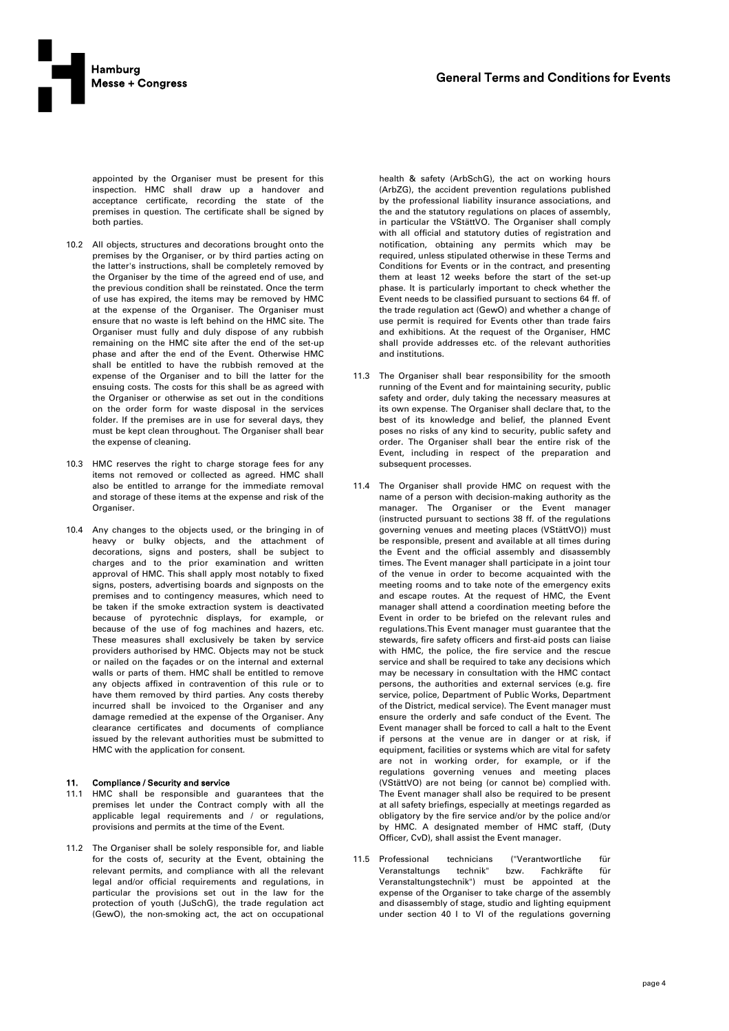

appointed by the Organiser must be present for this inspection. HMC shall draw up a handover and acceptance certificate, recording the state of the premises in question. The certificate shall be signed by both parties.

- 10.2 All objects, structures and decorations brought onto the premises by the Organiser, or by third parties acting on the latter's instructions, shall be completely removed by the Organiser by the time of the agreed end of use, and the previous condition shall be reinstated. Once the term of use has expired, the items may be removed by HMC at the expense of the Organiser. The Organiser must ensure that no waste is left behind on the HMC site. The Organiser must fully and duly dispose of any rubbish remaining on the HMC site after the end of the set-up phase and after the end of the Event. Otherwise HMC shall be entitled to have the rubbish removed at the expense of the Organiser and to bill the latter for the ensuing costs. The costs for this shall be as agreed with the Organiser or otherwise as set out in the conditions on the order form for waste disposal in the services folder. If the premises are in use for several days, they must be kept clean throughout. The Organiser shall bear the expense of cleaning.
- 10.3 HMC reserves the right to charge storage fees for any items not removed or collected as agreed. HMC shall also be entitled to arrange for the immediate removal and storage of these items at the expense and risk of the Organiser.
- 10.4 Any changes to the objects used, or the bringing in of heavy or bulky objects, and the attachment of decorations, signs and posters, shall be subject to charges and to the prior examination and written approval of HMC. This shall apply most notably to fixed signs, posters, advertising boards and signposts on the premises and to contingency measures, which need to be taken if the smoke extraction system is deactivated because of pyrotechnic displays, for example, or because of the use of fog machines and hazers, etc. These measures shall exclusively be taken by service providers authorised by HMC. Objects may not be stuck or nailed on the façades or on the internal and external walls or parts of them. HMC shall be entitled to remove any objects affixed in contravention of this rule or to have them removed by third parties. Any costs thereby incurred shall be invoiced to the Organiser and any damage remedied at the expense of the Organiser. Any clearance certificates and documents of compliance issued by the relevant authorities must be submitted to HMC with the application for consent.

# 11. Compliance / Security and service

- 11.1 HMC shall be responsible and guarantees that the premises let under the Contract comply with all the applicable legal requirements and / or regulations, provisions and permits at the time of the Event.
- 11.2 The Organiser shall be solely responsible for, and liable for the costs of, security at the Event, obtaining the relevant permits, and compliance with all the relevant legal and/or official requirements and regulations, in particular the provisions set out in the law for the protection of youth (JuSchG), the trade regulation act (GewO), the non-smoking act, the act on occupational

health & safety (ArbSchG), the act on working hours (ArbZG), the accident prevention regulations published by the professional liability insurance associations, and the and the statutory regulations on places of assembly, in particular the VStättVO. The Organiser shall comply with all official and statutory duties of registration and notification, obtaining any permits which may be required, unless stipulated otherwise in these Terms and Conditions for Events or in the contract, and presenting them at least 12 weeks before the start of the set-up phase. It is particularly important to check whether the Event needs to be classified pursuant to sections 64 ff. of the trade regulation act (GewO) and whether a change of use permit is required for Events other than trade fairs and exhibitions. At the request of the Organiser, HMC shall provide addresses etc. of the relevant authorities and institutions.

- 11.3 The Organiser shall bear responsibility for the smooth running of the Event and for maintaining security, public safety and order, duly taking the necessary measures at its own expense. The Organiser shall declare that, to the best of its knowledge and belief, the planned Event poses no risks of any kind to security, public safety and order. The Organiser shall bear the entire risk of the Event, including in respect of the preparation and subsequent processes.
- 11.4 The Organiser shall provide HMC on request with the name of a person with decision-making authority as the manager. The Organiser or the Event manager (instructed pursuant to sections 38 ff. of the regulations governing venues and meeting places (VStättVO)) must be responsible, present and available at all times during the Event and the official assembly and disassembly times. The Event manager shall participate in a joint tour of the venue in order to become acquainted with the meeting rooms and to take note of the emergency exits and escape routes. At the request of HMC, the Event manager shall attend a coordination meeting before the Event in order to be briefed on the relevant rules and regulations.This Event manager must guarantee that the stewards, fire safety officers and first-aid posts can liaise with HMC, the police, the fire service and the rescue service and shall be required to take any decisions which may be necessary in consultation with the HMC contact persons, the authorities and external services (e.g. fire service, police, Department of Public Works, Department of the District, medical service). The Event manager must ensure the orderly and safe conduct of the Event. The Event manager shall be forced to call a halt to the Event if persons at the venue are in danger or at risk, if equipment, facilities or systems which are vital for safety are not in working order, for example, or if the regulations governing venues and meeting places (VStättVO) are not being (or cannot be) complied with. The Event manager shall also be required to be present at all safety briefings, especially at meetings regarded as obligatory by the fire service and/or by the police and/or by HMC. A designated member of HMC staff, (Duty Officer, CvD), shall assist the Event manager.
- 11.5 Professional technicians ("Verantwortliche für Veranstaltungs technik" bzw. Fachkräfte für Veranstaltungstechnik") must be appointed at the expense of the Organiser to take charge of the assembly and disassembly of stage, studio and lighting equipment under section 40 I to VI of the regulations governing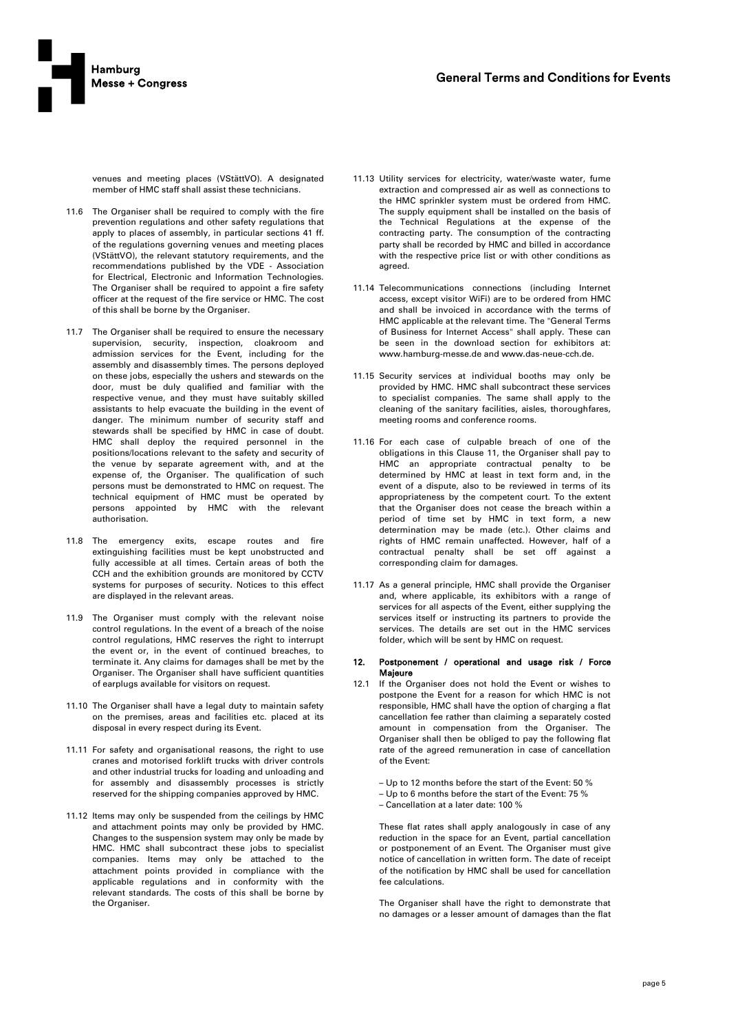

venues and meeting places (VStättVO). A designated member of HMC staff shall assist these technicians.

- 11.6 The Organiser shall be required to comply with the fire prevention regulations and other safety regulations that apply to places of assembly, in particular sections 41 ff. of the regulations governing venues and meeting places (VStättVO), the relevant statutory requirements, and the recommendations published by the VDE - Association for Electrical, Electronic and Information Technologies. The Organiser shall be required to appoint a fire safety officer at the request of the fire service or HMC. The cost of this shall be borne by the Organiser.
- 11.7 The Organiser shall be required to ensure the necessary supervision, security, inspection, cloakroom and admission services for the Event, including for the assembly and disassembly times. The persons deployed on these jobs, especially the ushers and stewards on the door, must be duly qualified and familiar with the respective venue, and they must have suitably skilled assistants to help evacuate the building in the event of danger. The minimum number of security staff and stewards shall be specified by HMC in case of doubt. HMC shall deploy the required personnel in the positions/locations relevant to the safety and security of the venue by separate agreement with, and at the expense of, the Organiser. The qualification of such persons must be demonstrated to HMC on request. The technical equipment of HMC must be operated by persons appointed by HMC with the relevant authorisation.
- 11.8 The emergency exits, escape routes and fire extinguishing facilities must be kept unobstructed and fully accessible at all times. Certain areas of both the CCH and the exhibition grounds are monitored by CCTV systems for purposes of security. Notices to this effect are displayed in the relevant areas.
- 11.9 The Organiser must comply with the relevant noise control regulations. In the event of a breach of the noise control regulations, HMC reserves the right to interrupt the event or, in the event of continued breaches, to terminate it. Any claims for damages shall be met by the Organiser. The Organiser shall have sufficient quantities of earplugs available for visitors on request.
- 11.10 The Organiser shall have a legal duty to maintain safety on the premises, areas and facilities etc. placed at its disposal in every respect during its Event.
- 11.11 For safety and organisational reasons, the right to use cranes and motorised forklift trucks with driver controls and other industrial trucks for loading and unloading and for assembly and disassembly processes is strictly reserved for the shipping companies approved by HMC.
- 11.12 Items may only be suspended from the ceilings by HMC and attachment points may only be provided by HMC. Changes to the suspension system may only be made by HMC. HMC shall subcontract these jobs to specialist companies. Items may only be attached to the attachment points provided in compliance with the applicable regulations and in conformity with the relevant standards. The costs of this shall be borne by the Organiser.
- 11.13 Utility services for electricity, water/waste water, fume extraction and compressed air as well as connections to the HMC sprinkler system must be ordered from HMC. The supply equipment shall be installed on the basis of the Technical Regulations at the expense of the contracting party. The consumption of the contracting party shall be recorded by HMC and billed in accordance with the respective price list or with other conditions as agreed.
- 11.14 Telecommunications connections (including Internet access, except visitor WiFi) are to be ordered from HMC and shall be invoiced in accordance with the terms of HMC applicable at the relevant time. The "General Terms of Business for Internet Access" shall apply. These can be seen in the download section for exhibitors at: www.hamburg-messe.de and www.das-neue-cch.de.
- 11.15 Security services at individual booths may only be provided by HMC. HMC shall subcontract these services to specialist companies. The same shall apply to the cleaning of the sanitary facilities, aisles, thoroughfares, meeting rooms and conference rooms.
- 11.16 For each case of culpable breach of one of the obligations in this Clause 11, the Organiser shall pay to HMC an appropriate contractual penalty to be determined by HMC at least in text form and, in the event of a dispute, also to be reviewed in terms of its appropriateness by the competent court. To the extent that the Organiser does not cease the breach within a period of time set by HMC in text form, a new determination may be made (etc.). Other claims and rights of HMC remain unaffected. However, half of a contractual penalty shall be set off against a corresponding claim for damages.
- 11.17 As a general principle, HMC shall provide the Organiser and, where applicable, its exhibitors with a range of services for all aspects of the Event, either supplying the services itself or instructing its partners to provide the services. The details are set out in the HMC services folder, which will be sent by HMC on request.

#### 12. Postponement / operational and usage risk / Force Majeure

- 12.1 If the Organiser does not hold the Event or wishes to postpone the Event for a reason for which HMC is not responsible, HMC shall have the option of charging a flat cancellation fee rather than claiming a separately costed amount in compensation from the Organiser. The Organiser shall then be obliged to pay the following flat rate of the agreed remuneration in case of cancellation of the Event:
	- Up to 12 months before the start of the Event: 50 %
	- Up to 6 months before the start of the Event: 75 %
	- Cancellation at a later date: 100 %

These flat rates shall apply analogously in case of any reduction in the space for an Event, partial cancellation or postponement of an Event. The Organiser must give notice of cancellation in written form. The date of receipt of the notification by HMC shall be used for cancellation fee calculations.

The Organiser shall have the right to demonstrate that no damages or a lesser amount of damages than the flat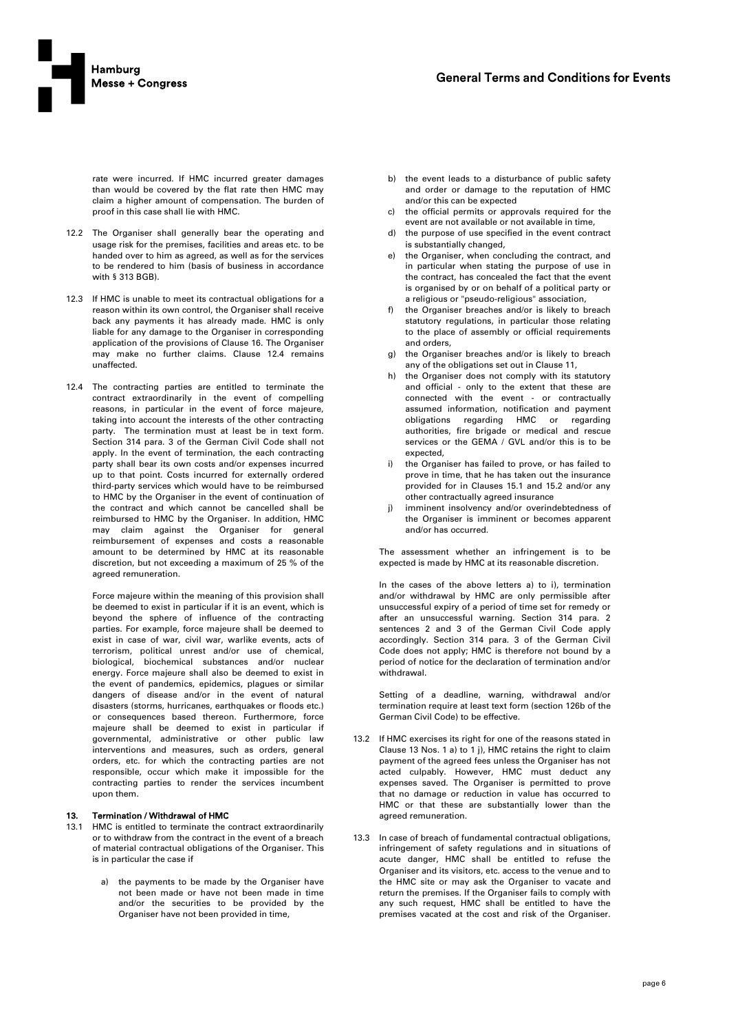

rate were incurred. If HMC incurred greater damages than would be covered by the flat rate then HMC may claim a higher amount of compensation. The burden of proof in this case shall lie with HMC.

- 12.2 The Organiser shall generally bear the operating and usage risk for the premises, facilities and areas etc. to be handed over to him as agreed, as well as for the services to be rendered to him (basis of business in accordance with § 313 BGB).
- 12.3 If HMC is unable to meet its contractual obligations for a reason within its own control, the Organiser shall receive back any payments it has already made. HMC is only liable for any damage to the Organiser in corresponding application of the provisions of Clause 16. The Organiser may make no further claims. Clause 12.4 remains unaffected.
- 12.4 The contracting parties are entitled to terminate the contract extraordinarily in the event of compelling reasons, in particular in the event of force majeure, taking into account the interests of the other contracting party. The termination must at least be in text form. Section 314 para. 3 of the German Civil Code shall not apply. In the event of termination, the each contracting party shall bear its own costs and/or expenses incurred up to that point. Costs incurred for externally ordered third-party services which would have to be reimbursed to HMC by the Organiser in the event of continuation of the contract and which cannot be cancelled shall be reimbursed to HMC by the Organiser. In addition, HMC may claim against the Organiser for general reimbursement of expenses and costs a reasonable amount to be determined by HMC at its reasonable discretion, but not exceeding a maximum of 25 % of the agreed remuneration.

Force majeure within the meaning of this provision shall be deemed to exist in particular if it is an event, which is beyond the sphere of influence of the contracting parties. For example, force majeure shall be deemed to exist in case of war, civil war, warlike events, acts of terrorism, political unrest and/or use of chemical, biological, biochemical substances and/or nuclear energy. Force majeure shall also be deemed to exist in the event of pandemics, epidemics, plagues or similar dangers of disease and/or in the event of natural disasters (storms, hurricanes, earthquakes or floods etc.) or consequences based thereon. Furthermore, force majeure shall be deemed to exist in particular if governmental, administrative or other public law interventions and measures, such as orders, general orders, etc. for which the contracting parties are not responsible, occur which make it impossible for the contracting parties to render the services incumbent upon them.

# 13. Termination / Withdrawal of HMC

- 13.1 HMC is entitled to terminate the contract extraordinarily or to withdraw from the contract in the event of a breach of material contractual obligations of the Organiser. This is in particular the case if
	- a) the payments to be made by the Organiser have not been made or have not been made in time and/or the securities to be provided by the Organiser have not been provided in time,
- b) the event leads to a disturbance of public safety and order or damage to the reputation of HMC and/or this can be expected
- c) the official permits or approvals required for the event are not available or not available in time,
- d) the purpose of use specified in the event contract is substantially changed,
- e) the Organiser, when concluding the contract, and in particular when stating the purpose of use in the contract, has concealed the fact that the event is organised by or on behalf of a political party or a religious or "pseudo-religious" association,
- f) the Organiser breaches and/or is likely to breach statutory regulations, in particular those relating to the place of assembly or official requirements and orders,
- g) the Organiser breaches and/or is likely to breach any of the obligations set out in Clause 11,
- h) the Organiser does not comply with its statutory and official - only to the extent that these are connected with the event - or contractually assumed information, notification and payment obligations regarding HMC or regarding authorities, fire brigade or medical and rescue services or the GEMA / GVL and/or this is to be expected,
- the Organiser has failed to prove, or has failed to prove in time, that he has taken out the insurance provided for in Clauses 15.1 and 15.2 and/or any other contractually agreed insurance
- j) imminent insolvency and/or overindebtedness of the Organiser is imminent or becomes apparent and/or has occurred.

The assessment whether an infringement is to be expected is made by HMC at its reasonable discretion.

In the cases of the above letters a) to i), termination and/or withdrawal by HMC are only permissible after unsuccessful expiry of a period of time set for remedy or after an unsuccessful warning. Section 314 para. 2 sentences 2 and 3 of the German Civil Code apply accordingly. Section 314 para. 3 of the German Civil Code does not apply; HMC is therefore not bound by a period of notice for the declaration of termination and/or withdrawal.

Setting of a deadline, warning, withdrawal and/or termination require at least text form (section 126b of the German Civil Code) to be effective.

- 13.2 If HMC exercises its right for one of the reasons stated in Clause 13 Nos. 1 a) to 1 j), HMC retains the right to claim payment of the agreed fees unless the Organiser has not acted culpably. However, HMC must deduct any expenses saved. The Organiser is permitted to prove that no damage or reduction in value has occurred to HMC or that these are substantially lower than the agreed remuneration.
- 13.3 In case of breach of fundamental contractual obligations, infringement of safety regulations and in situations of acute danger, HMC shall be entitled to refuse the Organiser and its visitors, etc. access to the venue and to the HMC site or may ask the Organiser to vacate and return the premises. If the Organiser fails to comply with any such request, HMC shall be entitled to have the premises vacated at the cost and risk of the Organiser.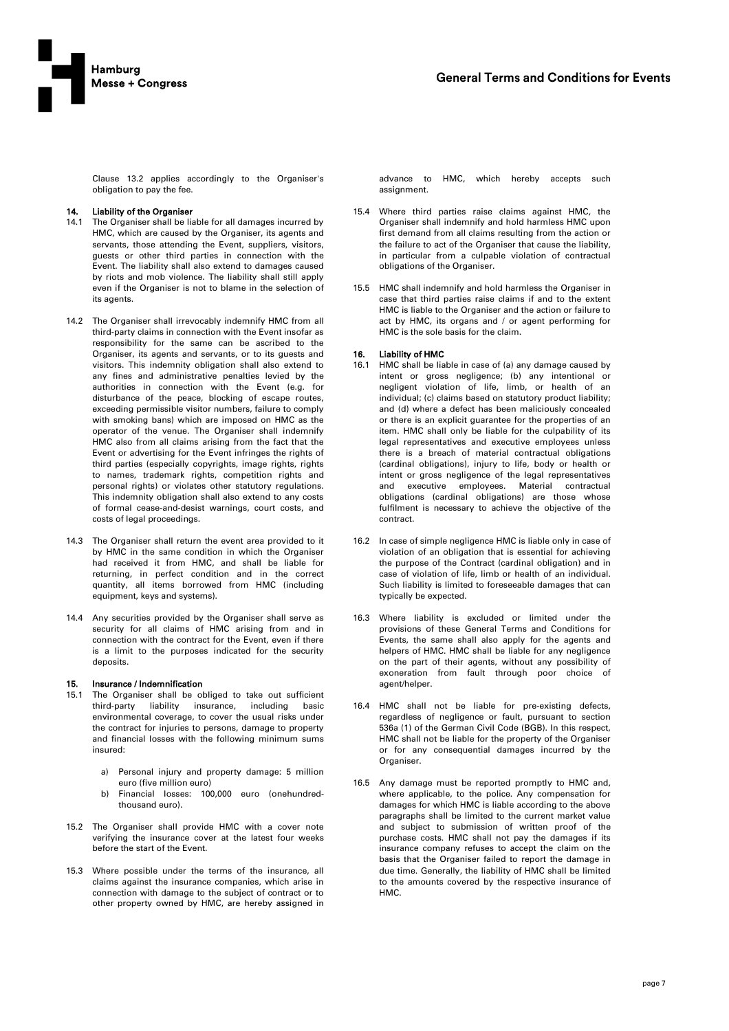

Clause 13.2 applies accordingly to the Organiser's obligation to pay the fee.

# 14. Liability of the Organiser

- 14.1 The Organiser shall be liable for all damages incurred by HMC, which are caused by the Organiser, its agents and servants, those attending the Event, suppliers, visitors, guests or other third parties in connection with the Event. The liability shall also extend to damages caused by riots and mob violence. The liability shall still apply even if the Organiser is not to blame in the selection of its agents.
- 14.2 The Organiser shall irrevocably indemnify HMC from all third-party claims in connection with the Event insofar as responsibility for the same can be ascribed to the Organiser, its agents and servants, or to its guests and visitors. This indemnity obligation shall also extend to any fines and administrative penalties levied by the authorities in connection with the Event (e.g. for disturbance of the peace, blocking of escape routes, exceeding permissible visitor numbers, failure to comply with smoking bans) which are imposed on HMC as the operator of the venue. The Organiser shall indemnify HMC also from all claims arising from the fact that the Event or advertising for the Event infringes the rights of third parties (especially copyrights, image rights, rights to names, trademark rights, competition rights and personal rights) or violates other statutory regulations. This indemnity obligation shall also extend to any costs of formal cease-and-desist warnings, court costs, and costs of legal proceedings.
- 14.3 The Organiser shall return the event area provided to it by HMC in the same condition in which the Organiser had received it from HMC, and shall be liable for returning, in perfect condition and in the correct quantity, all items borrowed from HMC (including equipment, keys and systems).
- 14.4 Any securities provided by the Organiser shall serve as security for all claims of HMC arising from and in connection with the contract for the Event, even if there is a limit to the purposes indicated for the security deposits.

#### 15. Insurance / Indemnification

- 15.1 The Organiser shall be obliged to take out sufficient third-party liability insurance, including basic environmental coverage, to cover the usual risks under the contract for injuries to persons, damage to property and financial losses with the following minimum sums insured:
	- a) Personal injury and property damage: 5 million euro (five million euro)
	- b) Financial losses: 100,000 euro (onehundredthousand euro).
- 15.2 The Organiser shall provide HMC with a cover note verifying the insurance cover at the latest four weeks before the start of the Event.
- 15.3 Where possible under the terms of the insurance, all claims against the insurance companies, which arise in connection with damage to the subject of contract or to other property owned by HMC, are hereby assigned in

advance to HMC, which hereby accepts such assignment.

- 15.4 Where third parties raise claims against HMC, the Organiser shall indemnify and hold harmless HMC upon first demand from all claims resulting from the action or the failure to act of the Organiser that cause the liability, in particular from a culpable violation of contractual obligations of the Organiser.
- 15.5 HMC shall indemnify and hold harmless the Organiser in case that third parties raise claims if and to the extent HMC is liable to the Organiser and the action or failure to act by HMC, its organs and / or agent performing for HMC is the sole basis for the claim.

### 16. Liability of HMC

- 16.1 HMC shall be liable in case of (a) any damage caused by intent or gross negligence; (b) any intentional or negligent violation of life, limb, or health of an individual; (c) claims based on statutory product liability; and (d) where a defect has been maliciously concealed or there is an explicit guarantee for the properties of an item. HMC shall only be liable for the culpability of its legal representatives and executive employees unless there is a breach of material contractual obligations (cardinal obligations), injury to life, body or health or intent or gross negligence of the legal representatives and executive employees. Material contractual obligations (cardinal obligations) are those whose fulfilment is necessary to achieve the objective of the contract.
- 16.2 In case of simple negligence HMC is liable only in case of violation of an obligation that is essential for achieving the purpose of the Contract (cardinal obligation) and in case of violation of life, limb or health of an individual. Such liability is limited to foreseeable damages that can typically be expected.
- 16.3 Where liability is excluded or limited under the provisions of these General Terms and Conditions for Events, the same shall also apply for the agents and helpers of HMC. HMC shall be liable for any negligence on the part of their agents, without any possibility of exoneration from fault through poor choice of agent/helper.
- 16.4 HMC shall not be liable for pre-existing defects, regardless of negligence or fault, pursuant to section 536a (1) of the German Civil Code (BGB). In this respect, HMC shall not be liable for the property of the Organiser or for any consequential damages incurred by the Organiser.
- 16.5 Any damage must be reported promptly to HMC and, where applicable, to the police. Any compensation for damages for which HMC is liable according to the above paragraphs shall be limited to the current market value and subject to submission of written proof of the purchase costs. HMC shall not pay the damages if its insurance company refuses to accept the claim on the basis that the Organiser failed to report the damage in due time. Generally, the liability of HMC shall be limited to the amounts covered by the respective insurance of HMC.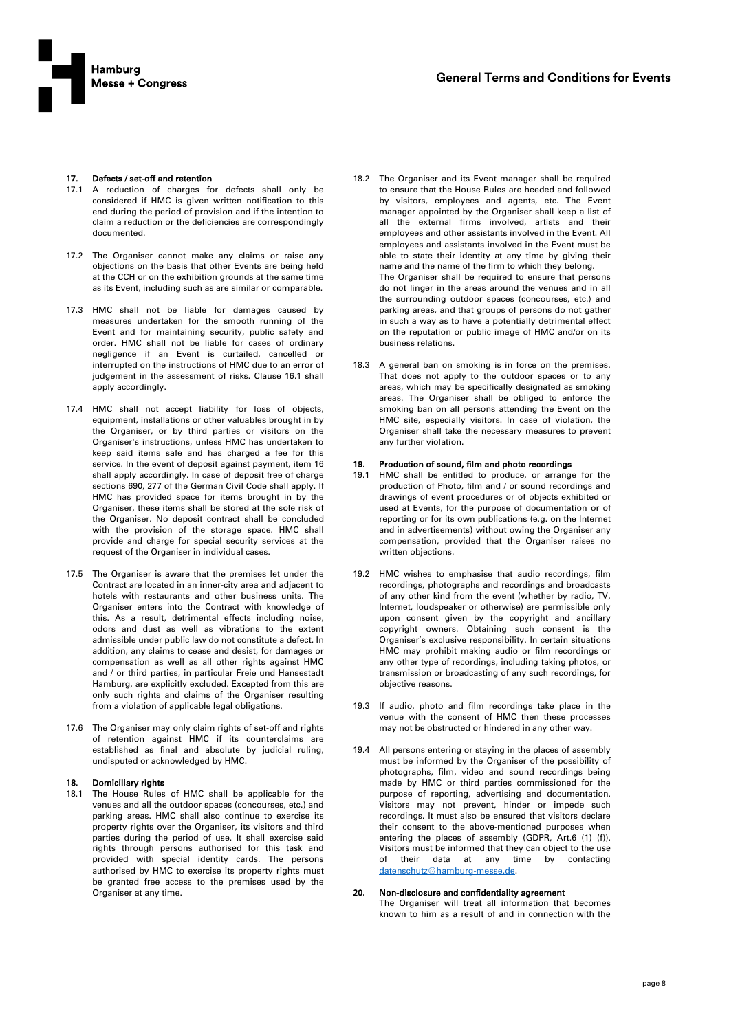

# 17. Defects / set-off and retention

- 17.1 A reduction of charges for defects shall only be considered if HMC is given written notification to this end during the period of provision and if the intention to claim a reduction or the deficiencies are correspondingly documented.
- 17.2 The Organiser cannot make any claims or raise any objections on the basis that other Events are being held at the CCH or on the exhibition grounds at the same time as its Event, including such as are similar or comparable.
- 17.3 HMC shall not be liable for damages caused by measures undertaken for the smooth running of the Event and for maintaining security, public safety and order. HMC shall not be liable for cases of ordinary negligence if an Event is curtailed, cancelled or interrupted on the instructions of HMC due to an error of judgement in the assessment of risks. Clause 16.1 shall apply accordingly.
- 17.4 HMC shall not accept liability for loss of objects, equipment, installations or other valuables brought in by the Organiser, or by third parties or visitors on the Organiser's instructions, unless HMC has undertaken to keep said items safe and has charged a fee for this service. In the event of deposit against payment, item 16 shall apply accordingly. In case of deposit free of charge sections 690, 277 of the German Civil Code shall apply. If HMC has provided space for items brought in by the Organiser, these items shall be stored at the sole risk of the Organiser. No deposit contract shall be concluded with the provision of the storage space. HMC shall provide and charge for special security services at the request of the Organiser in individual cases.
- 17.5 The Organiser is aware that the premises let under the Contract are located in an inner-city area and adjacent to hotels with restaurants and other business units. The Organiser enters into the Contract with knowledge of this. As a result, detrimental effects including noise, odors and dust as well as vibrations to the extent admissible under public law do not constitute a defect. In addition, any claims to cease and desist, for damages or compensation as well as all other rights against HMC and / or third parties, in particular Freie und Hansestadt Hamburg, are explicitly excluded. Excepted from this are only such rights and claims of the Organiser resulting from a violation of applicable legal obligations.
- 17.6 The Organiser may only claim rights of set-off and rights of retention against HMC if its counterclaims are established as final and absolute by judicial ruling, undisputed or acknowledged by HMC.

# 18. Domiciliary rights

18.1 The House Rules of HMC shall be applicable for the venues and all the outdoor spaces (concourses, etc.) and parking areas. HMC shall also continue to exercise its property rights over the Organiser, its visitors and third parties during the period of use. It shall exercise said rights through persons authorised for this task and provided with special identity cards. The persons authorised by HMC to exercise its property rights must be granted free access to the premises used by the Organiser at any time.

- 18.2 The Organiser and its Event manager shall be required to ensure that the House Rules are heeded and followed by visitors, employees and agents, etc. The Event manager appointed by the Organiser shall keep a list of all the external firms involved, artists and their employees and other assistants involved in the Event. All employees and assistants involved in the Event must be able to state their identity at any time by giving their name and the name of the firm to which they belong. The Organiser shall be required to ensure that persons do not linger in the areas around the venues and in all the surrounding outdoor spaces (concourses, etc.) and parking areas, and that groups of persons do not gather in such a way as to have a potentially detrimental effect on the reputation or public image of HMC and/or on its business relations.
- 18.3 A general ban on smoking is in force on the premises. That does not apply to the outdoor spaces or to any areas, which may be specifically designated as smoking areas. The Organiser shall be obliged to enforce the smoking ban on all persons attending the Event on the HMC site, especially visitors. In case of violation, the Organiser shall take the necessary measures to prevent any further violation.

# 19. Production of sound, film and photo recordings<br>19.1 HMC shall be entitled to produce, or arrange

- HMC shall be entitled to produce, or arrange for the production of Photo, film and / or sound recordings and drawings of event procedures or of objects exhibited or used at Events, for the purpose of documentation or of reporting or for its own publications (e.g. on the Internet and in advertisements) without owing the Organiser any compensation, provided that the Organiser raises no written objections.
- 19.2 HMC wishes to emphasise that audio recordings, film recordings, photographs and recordings and broadcasts of any other kind from the event (whether by radio, TV, Internet, loudspeaker or otherwise) are permissible only upon consent given by the copyright and ancillary copyright owners. Obtaining such consent is the Organiser's exclusive responsibility. In certain situations HMC may prohibit making audio or film recordings or any other type of recordings, including taking photos, or transmission or broadcasting of any such recordings, for objective reasons.
- 19.3 If audio, photo and film recordings take place in the venue with the consent of HMC then these processes may not be obstructed or hindered in any other way.
- 19.4 All persons entering or staying in the places of assembly must be informed by the Organiser of the possibility of photographs, film, video and sound recordings being made by HMC or third parties commissioned for the purpose of reporting, advertising and documentation. Visitors may not prevent, hinder or impede such recordings. It must also be ensured that visitors declare their consent to the above-mentioned purposes when entering the places of assembly (GDPR, Art.6 (1) (f)). Visitors must be informed that they can object to the use of their data at any time by contacting [datenschutz@hamburg-messe.de.](mailto:privacy@hamburg-messe.de)

#### 20. Non-disclosure and confidentiality agreement The Organiser will treat all information that becomes

known to him as a result of and in connection with the